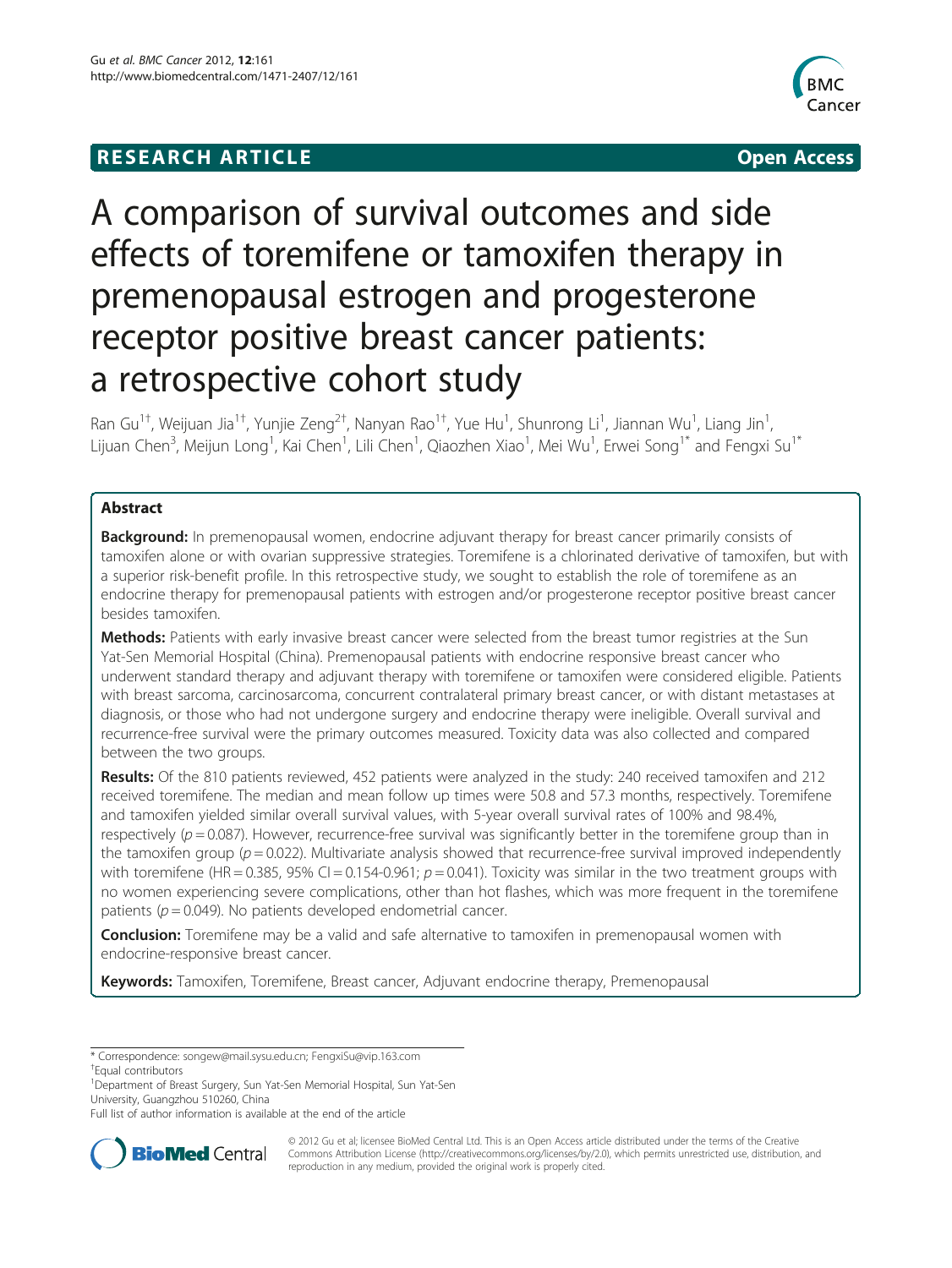## **RESEARCH ARTICLE Example 2008 CONSIDERING CONSIDERING CONSIDERING CONSIDERING CONSIDERING CONSIDERING CONSIDERING CONSIDERING CONSIDERING CONSIDERING CONSIDERING CONSIDERING CONSIDERING CONSIDERING CONSIDERING CONSIDE**



# A comparison of survival outcomes and side effects of toremifene or tamoxifen therapy in premenopausal estrogen and progesterone receptor positive breast cancer patients: a retrospective cohort study

Ran Gu<sup>1†</sup>, Weijuan Jia<sup>1†</sup>, Yunjie Zeng<sup>2†</sup>, Nanyan Rao<sup>1†</sup>, Yue Hu<sup>1</sup>, Shunrong Li<sup>1</sup>, Jiannan Wu<sup>1</sup>, Liang Jin<sup>1</sup> , Lijuan Chen<sup>3</sup>, Meijun Long<sup>1</sup>, Kai Chen<sup>1</sup>, Lili Chen<sup>1</sup>, Qiaozhen Xiao<sup>1</sup>, Mei Wu<sup>1</sup>, Erwei Song<sup>1\*</sup> and Fengxi Su<sup>1\*</sup>

### Abstract

Background: In premenopausal women, endocrine adjuvant therapy for breast cancer primarily consists of tamoxifen alone or with ovarian suppressive strategies. Toremifene is a chlorinated derivative of tamoxifen, but with a superior risk-benefit profile. In this retrospective study, we sought to establish the role of toremifene as an endocrine therapy for premenopausal patients with estrogen and/or progesterone receptor positive breast cancer besides tamoxifen.

Methods: Patients with early invasive breast cancer were selected from the breast tumor registries at the Sun Yat-Sen Memorial Hospital (China). Premenopausal patients with endocrine responsive breast cancer who underwent standard therapy and adjuvant therapy with toremifene or tamoxifen were considered eligible. Patients with breast sarcoma, carcinosarcoma, concurrent contralateral primary breast cancer, or with distant metastases at diagnosis, or those who had not undergone surgery and endocrine therapy were ineligible. Overall survival and recurrence-free survival were the primary outcomes measured. Toxicity data was also collected and compared between the two groups.

Results: Of the 810 patients reviewed, 452 patients were analyzed in the study: 240 received tamoxifen and 212 received toremifene. The median and mean follow up times were 50.8 and 57.3 months, respectively. Toremifene and tamoxifen yielded similar overall survival values, with 5-year overall survival rates of 100% and 98.4%, respectively ( $p = 0.087$ ). However, recurrence-free survival was significantly better in the toremifene group than in the tamoxifen group ( $p = 0.022$ ). Multivariate analysis showed that recurrence-free survival improved independently with toremifene (HR = 0.385, 95% CI = 0.154-0.961;  $p = 0.041$ ). Toxicity was similar in the two treatment groups with no women experiencing severe complications, other than hot flashes, which was more frequent in the toremifene patients ( $p = 0.049$ ). No patients developed endometrial cancer.

**Conclusion:** Toremifene may be a valid and safe alternative to tamoxifen in premenopausal women with endocrine-responsive breast cancer.

Keywords: Tamoxifen, Toremifene, Breast cancer, Adjuvant endocrine therapy, Premenopausal

Equal contributors

<sup>1</sup>Department of Breast Surgery, Sun Yat-Sen Memorial Hospital, Sun Yat-Sen University, Guangzhou 510260, China

Full list of author information is available at the end of the article



© 2012 Gu et al; licensee BioMed Central Ltd. This is an Open Access article distributed under the terms of the Creative Commons Attribution License [\(http://creativecommons.org/licenses/by/2.0\)](http://creativecommons.org/licenses/by/2.0), which permits unrestricted use, distribution, and reproduction in any medium, provided the original work is properly cited.

<sup>\*</sup> Correspondence: [songew@mail.sysu.edu.cn;](mailto:songew@mail.sysu.edu.cn) [FengxiSu@vip.163.com](mailto:FengxiSu@vip.163.com) †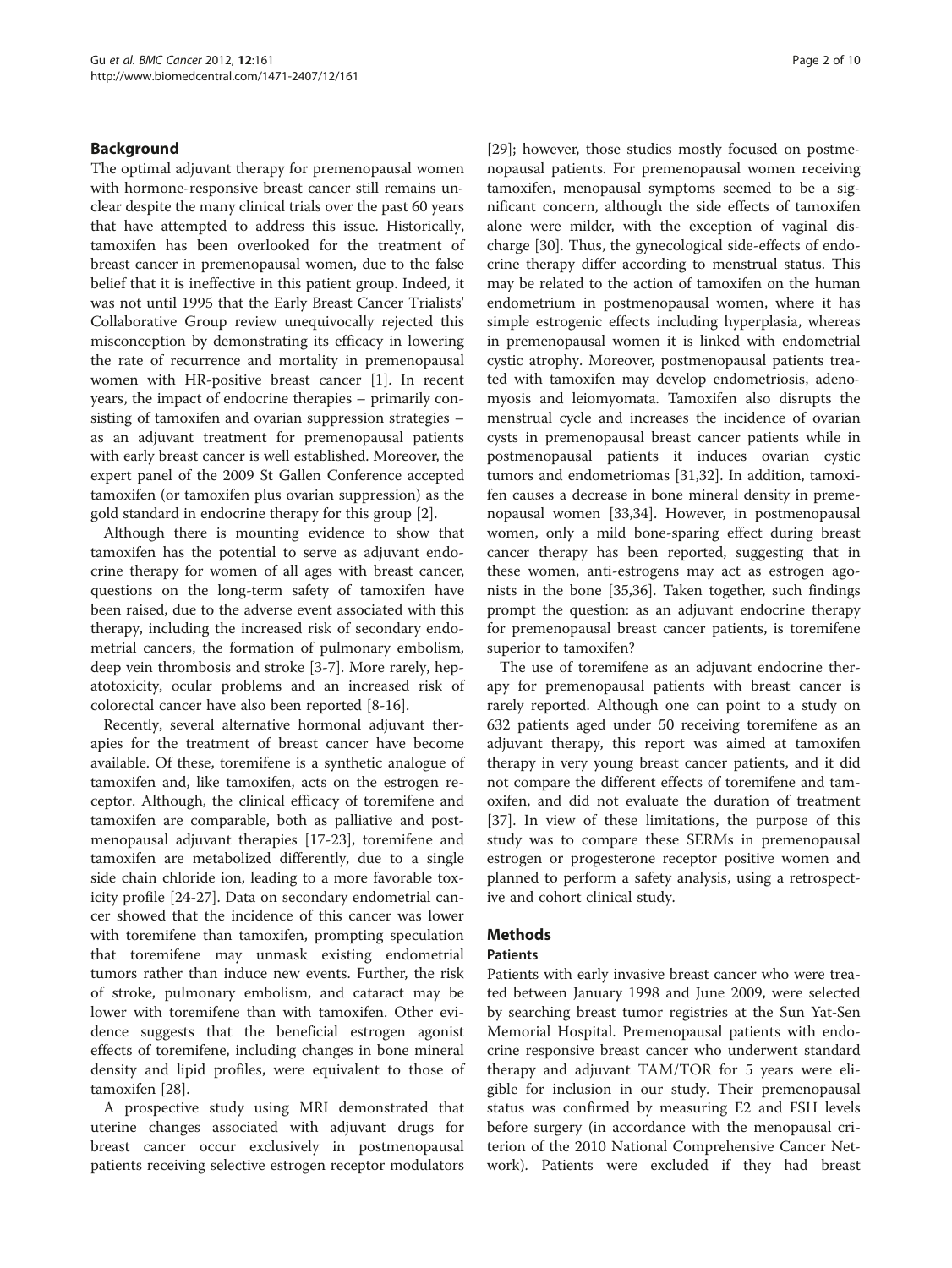#### Background

The optimal adjuvant therapy for premenopausal women with hormone-responsive breast cancer still remains unclear despite the many clinical trials over the past 60 years that have attempted to address this issue. Historically, tamoxifen has been overlooked for the treatment of breast cancer in premenopausal women, due to the false belief that it is ineffective in this patient group. Indeed, it was not until 1995 that the Early Breast Cancer Trialists' Collaborative Group review unequivocally rejected this misconception by demonstrating its efficacy in lowering the rate of recurrence and mortality in premenopausal women with HR-positive breast cancer [[1\]](#page-8-0). In recent years, the impact of endocrine therapies – primarily consisting of tamoxifen and ovarian suppression strategies – as an adjuvant treatment for premenopausal patients with early breast cancer is well established. Moreover, the expert panel of the 2009 St Gallen Conference accepted tamoxifen (or tamoxifen plus ovarian suppression) as the gold standard in endocrine therapy for this group [[2](#page-8-0)].

Although there is mounting evidence to show that tamoxifen has the potential to serve as adjuvant endocrine therapy for women of all ages with breast cancer, questions on the long-term safety of tamoxifen have been raised, due to the adverse event associated with this therapy, including the increased risk of secondary endometrial cancers, the formation of pulmonary embolism, deep vein thrombosis and stroke [[3-7](#page-8-0)]. More rarely, hepatotoxicity, ocular problems and an increased risk of colorectal cancer have also been reported [[8-16\]](#page-8-0).

Recently, several alternative hormonal adjuvant therapies for the treatment of breast cancer have become available. Of these, toremifene is a synthetic analogue of tamoxifen and, like tamoxifen, acts on the estrogen receptor. Although, the clinical efficacy of toremifene and tamoxifen are comparable, both as palliative and postmenopausal adjuvant therapies [[17-23](#page-8-0)], toremifene and tamoxifen are metabolized differently, due to a single side chain chloride ion, leading to a more favorable toxicity profile [\[24](#page-8-0)-[27\]](#page-9-0). Data on secondary endometrial cancer showed that the incidence of this cancer was lower with toremifene than tamoxifen, prompting speculation that toremifene may unmask existing endometrial tumors rather than induce new events. Further, the risk of stroke, pulmonary embolism, and cataract may be lower with toremifene than with tamoxifen. Other evidence suggests that the beneficial estrogen agonist effects of toremifene, including changes in bone mineral density and lipid profiles, were equivalent to those of tamoxifen [[28](#page-9-0)].

A prospective study using MRI demonstrated that uterine changes associated with adjuvant drugs for breast cancer occur exclusively in postmenopausal patients receiving selective estrogen receptor modulators [[29\]](#page-9-0); however, those studies mostly focused on postmenopausal patients. For premenopausal women receiving tamoxifen, menopausal symptoms seemed to be a significant concern, although the side effects of tamoxifen alone were milder, with the exception of vaginal discharge [[30\]](#page-9-0). Thus, the gynecological side-effects of endocrine therapy differ according to menstrual status. This may be related to the action of tamoxifen on the human endometrium in postmenopausal women, where it has simple estrogenic effects including hyperplasia, whereas in premenopausal women it is linked with endometrial cystic atrophy. Moreover, postmenopausal patients treated with tamoxifen may develop endometriosis, adenomyosis and leiomyomata. Tamoxifen also disrupts the menstrual cycle and increases the incidence of ovarian cysts in premenopausal breast cancer patients while in postmenopausal patients it induces ovarian cystic tumors and endometriomas [[31,32](#page-9-0)]. In addition, tamoxifen causes a decrease in bone mineral density in premenopausal women [\[33,34\]](#page-9-0). However, in postmenopausal women, only a mild bone-sparing effect during breast cancer therapy has been reported, suggesting that in these women, anti-estrogens may act as estrogen agonists in the bone [[35,36\]](#page-9-0). Taken together, such findings prompt the question: as an adjuvant endocrine therapy for premenopausal breast cancer patients, is toremifene superior to tamoxifen?

The use of toremifene as an adjuvant endocrine therapy for premenopausal patients with breast cancer is rarely reported. Although one can point to a study on 632 patients aged under 50 receiving toremifene as an adjuvant therapy, this report was aimed at tamoxifen therapy in very young breast cancer patients, and it did not compare the different effects of toremifene and tamoxifen, and did not evaluate the duration of treatment [[37\]](#page-9-0). In view of these limitations, the purpose of this study was to compare these SERMs in premenopausal estrogen or progesterone receptor positive women and planned to perform a safety analysis, using a retrospective and cohort clinical study.

#### Methods

#### Patients

Patients with early invasive breast cancer who were treated between January 1998 and June 2009, were selected by searching breast tumor registries at the Sun Yat-Sen Memorial Hospital. Premenopausal patients with endocrine responsive breast cancer who underwent standard therapy and adjuvant TAM/TOR for 5 years were eligible for inclusion in our study. Their premenopausal status was confirmed by measuring E2 and FSH levels before surgery (in accordance with the menopausal criterion of the 2010 National Comprehensive Cancer Network). Patients were excluded if they had breast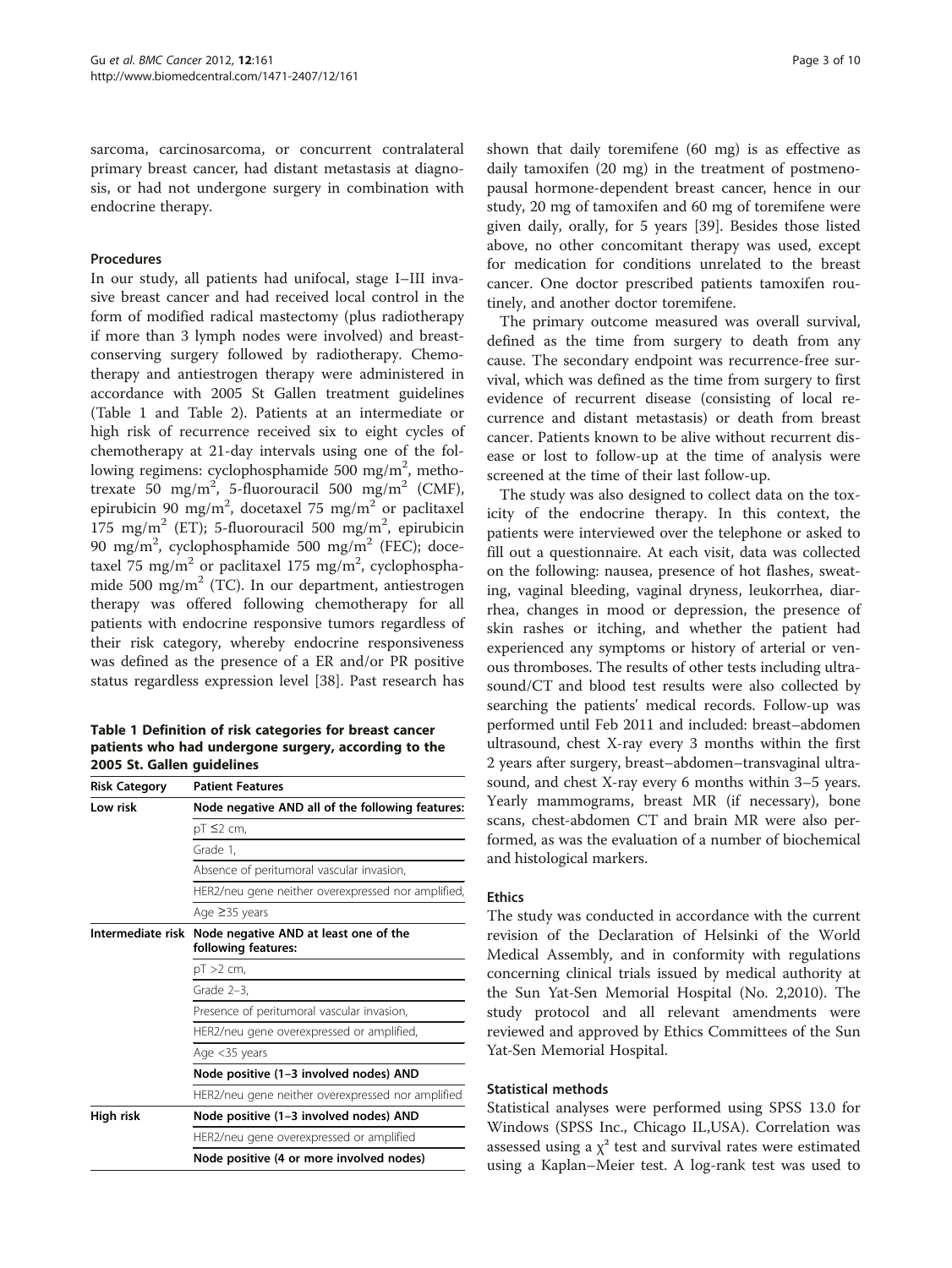sarcoma, carcinosarcoma, or concurrent contralateral primary breast cancer, had distant metastasis at diagnosis, or had not undergone surgery in combination with endocrine therapy.

#### Procedures

In our study, all patients had unifocal, stage I–III invasive breast cancer and had received local control in the form of modified radical mastectomy (plus radiotherapy if more than 3 lymph nodes were involved) and breastconserving surgery followed by radiotherapy. Chemotherapy and antiestrogen therapy were administered in accordance with 2005 St Gallen treatment guidelines (Table 1 and Table [2](#page-3-0)). Patients at an intermediate or high risk of recurrence received six to eight cycles of chemotherapy at 21-day intervals using one of the following regimens: cyclophosphamide 500 mg/m<sup>2</sup>, methotrexate 50 mg/m<sup>2</sup>, 5-fluorouracil 500 mg/m<sup>2</sup> (CMF), epirubicin 90 mg/m $^2$ , docetaxel 75 mg/m $^2$  or paclitaxel 175 mg/m<sup>2</sup> (ET); 5-fluorouracil 500 mg/m<sup>2</sup>, epirubicin 90 mg/m<sup>2</sup>, cyclophosphamide 500 mg/m<sup>2</sup> (FEC); docetaxel 75 mg/m<sup>2</sup> or paclitaxel 175 mg/m<sup>2</sup>, cyclophosphamide 500 mg/m<sup>2</sup> (TC). In our department, antiestrogen therapy was offered following chemotherapy for all patients with endocrine responsive tumors regardless of their risk category, whereby endocrine responsiveness was defined as the presence of a ER and/or PR positive status regardless expression level [\[38\]](#page-9-0). Past research has

Table 1 Definition of risk categories for breast cancer patients who had undergone surgery, according to the 2005 St. Gallen guidelines

| <b>Risk Category</b> | <b>Patient Features</b>                                      |
|----------------------|--------------------------------------------------------------|
| Low risk             | Node negative AND all of the following features:             |
|                      | pT ≤2 cm,                                                    |
|                      | Grade 1.                                                     |
|                      | Absence of peritumoral vascular invasion,                    |
|                      | HER2/neu gene neither overexpressed nor amplified,           |
|                      | Age $\geq$ 35 years                                          |
| Intermediate risk    | Node negative AND at least one of the<br>following features: |
|                      | pT >2 cm,                                                    |
|                      | Grade 2–3.                                                   |
|                      | Presence of peritumoral vascular invasion,                   |
|                      | HER2/neu gene overexpressed or amplified,                    |
|                      | Age <35 years                                                |
|                      | Node positive (1-3 involved nodes) AND                       |
|                      | HER2/neu gene neither overexpressed nor amplified            |
| High risk            | Node positive (1-3 involved nodes) AND                       |
|                      | HER2/neu gene overexpressed or amplified                     |
|                      | Node positive (4 or more involved nodes)                     |

shown that daily toremifene (60 mg) is as effective as daily tamoxifen (20 mg) in the treatment of postmenopausal hormone-dependent breast cancer, hence in our study, 20 mg of tamoxifen and 60 mg of toremifene were given daily, orally, for 5 years [[39](#page-9-0)]. Besides those listed above, no other concomitant therapy was used, except for medication for conditions unrelated to the breast cancer. One doctor prescribed patients tamoxifen routinely, and another doctor toremifene.

The primary outcome measured was overall survival, defined as the time from surgery to death from any cause. The secondary endpoint was recurrence-free survival, which was defined as the time from surgery to first evidence of recurrent disease (consisting of local recurrence and distant metastasis) or death from breast cancer. Patients known to be alive without recurrent disease or lost to follow-up at the time of analysis were screened at the time of their last follow-up.

The study was also designed to collect data on the toxicity of the endocrine therapy. In this context, the patients were interviewed over the telephone or asked to fill out a questionnaire. At each visit, data was collected on the following: nausea, presence of hot flashes, sweating, vaginal bleeding, vaginal dryness, leukorrhea, diarrhea, changes in mood or depression, the presence of skin rashes or itching, and whether the patient had experienced any symptoms or history of arterial or venous thromboses. The results of other tests including ultrasound/CT and blood test results were also collected by searching the patients' medical records. Follow-up was performed until Feb 2011 and included: breast–abdomen ultrasound, chest X-ray every 3 months within the first 2 years after surgery, breast–abdomen–transvaginal ultrasound, and chest X-ray every 6 months within 3–5 years. Yearly mammograms, breast MR (if necessary), bone scans, chest-abdomen CT and brain MR were also performed, as was the evaluation of a number of biochemical and histological markers.

#### Ethics

The study was conducted in accordance with the current revision of the Declaration of Helsinki of the World Medical Assembly, and in conformity with regulations concerning clinical trials issued by medical authority at the Sun Yat-Sen Memorial Hospital (No. 2,2010). The study protocol and all relevant amendments were reviewed and approved by Ethics Committees of the Sun Yat-Sen Memorial Hospital.

#### Statistical methods

Statistical analyses were performed using SPSS 13.0 for Windows (SPSS Inc., Chicago IL,USA). Correlation was assessed using a  $\chi^2$  test and survival rates were estimated using a Kaplan–Meier test. A log-rank test was used to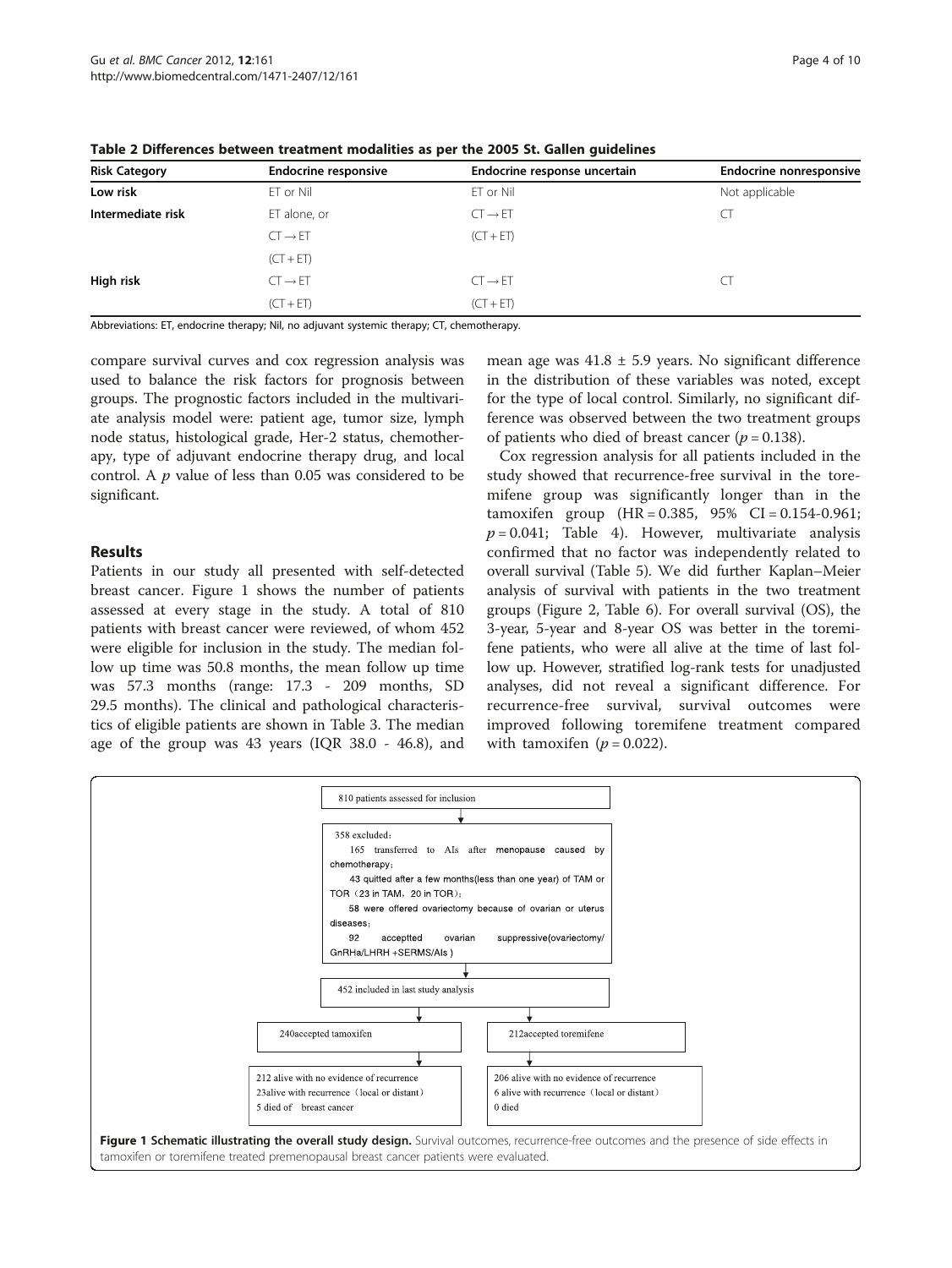| <b>Risk Category</b> | <b>Endocrine responsive</b> | Endocrine response uncertain | <b>Endocrine nonresponsive</b> |
|----------------------|-----------------------------|------------------------------|--------------------------------|
| Low risk             | ET or Nil                   | ET or Nil                    | Not applicable                 |
| Intermediate risk    | ET alone, or                | $CT \rightarrow ET$          | L.                             |
|                      | $CT \rightarrow ET$         | $(CT + ET)$                  |                                |
|                      | $(CT + ET)$                 |                              |                                |
| High risk            | $CT \rightarrow ET$         | $CT \rightarrow ET$          | CT                             |
|                      | $(CT + ET)$                 | $(CT + ET)$                  |                                |

<span id="page-3-0"></span>Table 2 Differences between treatment modalities as per the 2005 St. Gallen guidelines

Abbreviations: ET, endocrine therapy; Nil, no adjuvant systemic therapy; CT, chemotherapy.

compare survival curves and cox regression analysis was used to balance the risk factors for prognosis between groups. The prognostic factors included in the multivariate analysis model were: patient age, tumor size, lymph node status, histological grade, Her-2 status, chemotherapy, type of adjuvant endocrine therapy drug, and local control. A  $p$  value of less than 0.05 was considered to be significant.

#### Results

Patients in our study all presented with self-detected breast cancer. Figure 1 shows the number of patients assessed at every stage in the study. A total of 810 patients with breast cancer were reviewed, of whom 452 were eligible for inclusion in the study. The median follow up time was 50.8 months, the mean follow up time was 57.3 months (range: 17.3 - 209 months, SD 29.5 months). The clinical and pathological characteristics of eligible patients are shown in Table [3](#page-4-0). The median age of the group was 43 years (IQR 38.0 - 46.8), and

mean age was  $41.8 \pm 5.9$  years. No significant difference in the distribution of these variables was noted, except for the type of local control. Similarly, no significant difference was observed between the two treatment groups of patients who died of breast cancer ( $p = 0.138$ ).

Cox regression analysis for all patients included in the study showed that recurrence-free survival in the toremifene group was significantly longer than in the tamoxifen group  $(HR = 0.385, 95\% \text{ CI} = 0.154 - 0.961;$  $p = 0.041$ ; Table [4\)](#page-4-0). However, multivariate analysis confirmed that no factor was independently related to overall survival (Table [5\)](#page-4-0). We did further Kaplan–Meier analysis of survival with patients in the two treatment groups (Figure [2](#page-5-0), Table [6](#page-6-0)). For overall survival (OS), the 3-year, 5-year and 8-year OS was better in the toremifene patients, who were all alive at the time of last follow up. However, stratified log-rank tests for unadjusted analyses, did not reveal a significant difference. For recurrence-free survival, survival outcomes were improved following toremifene treatment compared with tamoxifen  $(p = 0.022)$ .

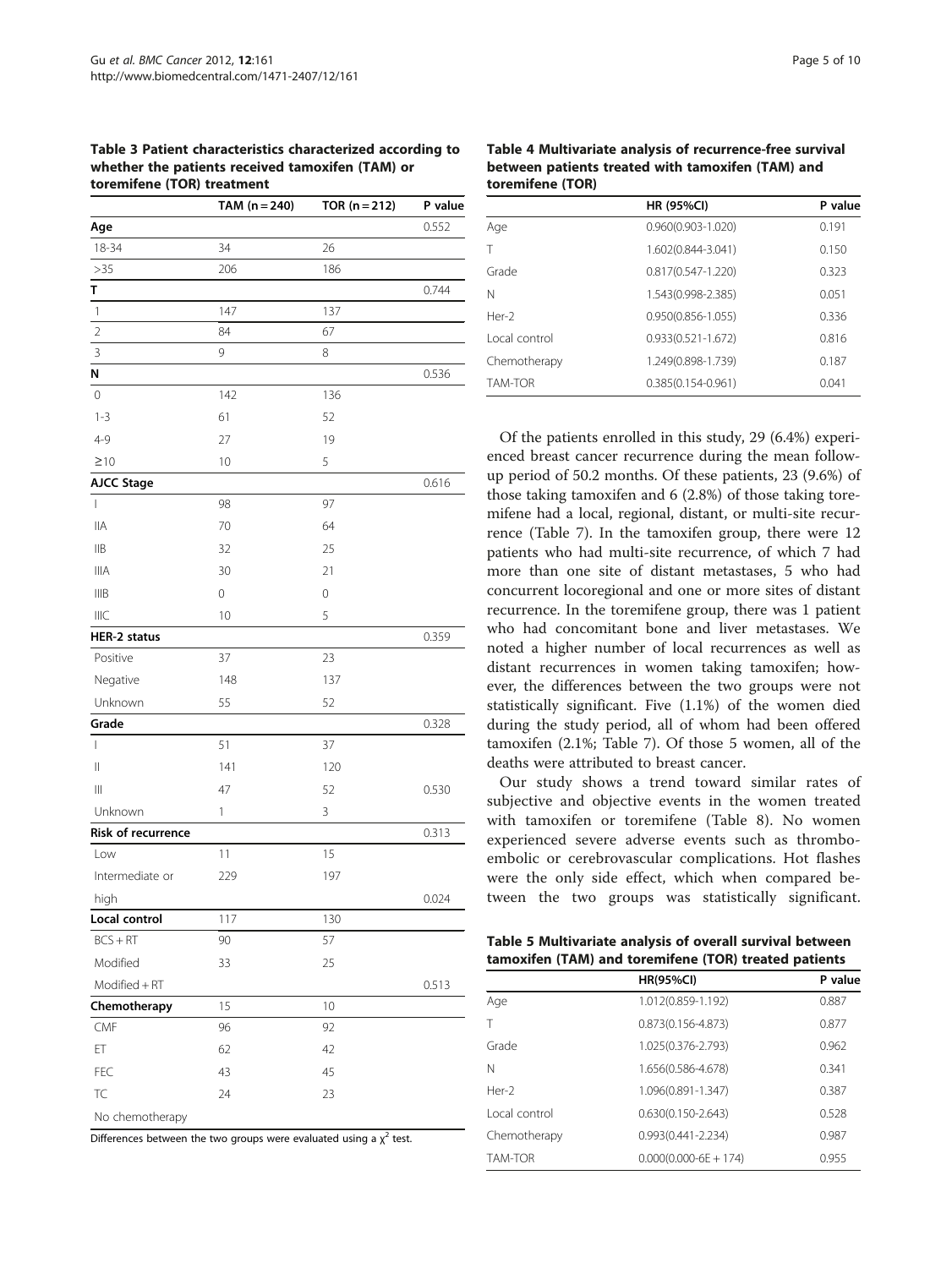<span id="page-4-0"></span>Table 3 Patient characteristics characterized according to whether the patients received tamoxifen (TAM) or toremifene (TOR) treatment

|                          | TAM $(n = 240)$ | TOR $(n = 212)$ | P value |
|--------------------------|-----------------|-----------------|---------|
| Age                      |                 |                 | 0.552   |
| 18-34                    | 34              | 26              |         |
| $>35$                    | 206             | 186             |         |
| T                        |                 |                 | 0.744   |
| $\,1$                    | 147             | 137             |         |
| $\overline{2}$           | 84              | 67              |         |
| 3                        | 9               | 8               |         |
| N                        |                 |                 | 0.536   |
| 0                        | 142             | 136             |         |
| $1 - 3$                  | 61              | 52              |         |
| $4 - 9$                  | 27              | 19              |         |
| $\geq 10$                | 10              | 5               |         |
| <b>AJCC Stage</b>        |                 |                 | 0.616   |
| $\mathsf{I}$             | 98              | 97              |         |
| <b>IIA</b>               | 70              | 64              |         |
| $\mathsf{IIB}$           | 32              | 25              |         |
| <b>IIIA</b>              | 30              | 21              |         |
| <b>IIIB</b>              | 0               | 0               |         |
| IIIC                     | 10              | 5               |         |
| <b>HER-2 status</b>      |                 |                 | 0.359   |
| Positive                 | 37              | 23              |         |
| Negative                 | 148             | 137             |         |
| Unknown                  | 55              | 52              |         |
| Grade                    |                 |                 | 0.328   |
| $\overline{\phantom{a}}$ | 51              | 37              |         |
| $\mid \mid$              | 141             | 120             |         |
| $\mid \mid \mid$         | 47              | 52              | 0.530   |
| Unknown                  | 1               | 3               |         |
| Risk of recurrence       |                 |                 | 0.313   |
| Low                      | 11              | 15              |         |
| Intermediate or          | 229             | 197             |         |
| high                     |                 |                 | 0.024   |
| Local control            | 117             | 130             |         |
| $BCS + RT$               | 90              | 57              |         |
| Modified                 | 33              | 25              |         |
| $Modified + RT$          |                 |                 | 0.513   |
| Chemotherapy             | 15              | 10              |         |
| CMF                      | 96              | 92              |         |
| ET                       | 62              | 42              |         |
| FEC                      | 43              | 45              |         |
| TC                       | 24              | 23              |         |
| No chemotherapy          |                 |                 |         |

Differences between the two groups were evaluated using a  $\chi^2$  test.

Table 4 Multivariate analysis of recurrence-free survival between patients treated with tamoxifen (TAM) and toremifene (TOR)

|               | <b>HR (95%CI)</b>      | P value |
|---------------|------------------------|---------|
| Age           | $0.960(0.903 - 1.020)$ | 0.191   |
|               | 1.602(0.844-3.041)     | 0.150   |
| Grade         | $0.817(0.547 - 1.220)$ | 0.323   |
| N             | 1.543(0.998-2.385)     | 0.051   |
| Her-2         | $0.950(0.856 - 1.055)$ | 0.336   |
| Local control | $0.933(0.521 - 1.672)$ | 0.816   |
| Chemotherapy  | 1.249(0.898-1.739)     | 0.187   |
| TAM-TOR       | $0.385(0.154 - 0.961)$ | 0.041   |

Of the patients enrolled in this study, 29 (6.4%) experienced breast cancer recurrence during the mean followup period of 50.2 months. Of these patients, 23 (9.6%) of those taking tamoxifen and 6 (2.8%) of those taking toremifene had a local, regional, distant, or multi-site recurrence (Table [7\)](#page-6-0). In the tamoxifen group, there were 12 patients who had multi-site recurrence, of which 7 had more than one site of distant metastases, 5 who had concurrent locoregional and one or more sites of distant recurrence. In the toremifene group, there was 1 patient who had concomitant bone and liver metastases. We noted a higher number of local recurrences as well as distant recurrences in women taking tamoxifen; however, the differences between the two groups were not statistically significant. Five (1.1%) of the women died during the study period, all of whom had been offered tamoxifen (2.1%; Table [7\)](#page-6-0). Of those 5 women, all of the deaths were attributed to breast cancer.

Our study shows a trend toward similar rates of subjective and objective events in the women treated with tamoxifen or toremifene (Table [8](#page-6-0)). No women experienced severe adverse events such as thromboembolic or cerebrovascular complications. Hot flashes were the only side effect, which when compared between the two groups was statistically significant.

Table 5 Multivariate analysis of overall survival between tamoxifen (TAM) and toremifene (TOR) treated patients

|               | <b>HR(95%CI)</b>        | P value |
|---------------|-------------------------|---------|
| Age           | 1.012(0.859-1.192)      | 0.887   |
| Τ             | $0.873(0.156 - 4.873)$  | 0.877   |
| Grade         | 1.025(0.376-2.793)      | 0.962   |
| N             | 1.656(0.586-4.678)      | 0.341   |
| Her-2         | 1.096(0.891-1.347)      | 0.387   |
| Local control | $0.630(0.150 - 2.643)$  | 0.528   |
| Chemotherapy  | $0.993(0.441 - 2.234)$  | 0.987   |
| TAM-TOR       | $0.000(0.000-6E + 174)$ | 0.955   |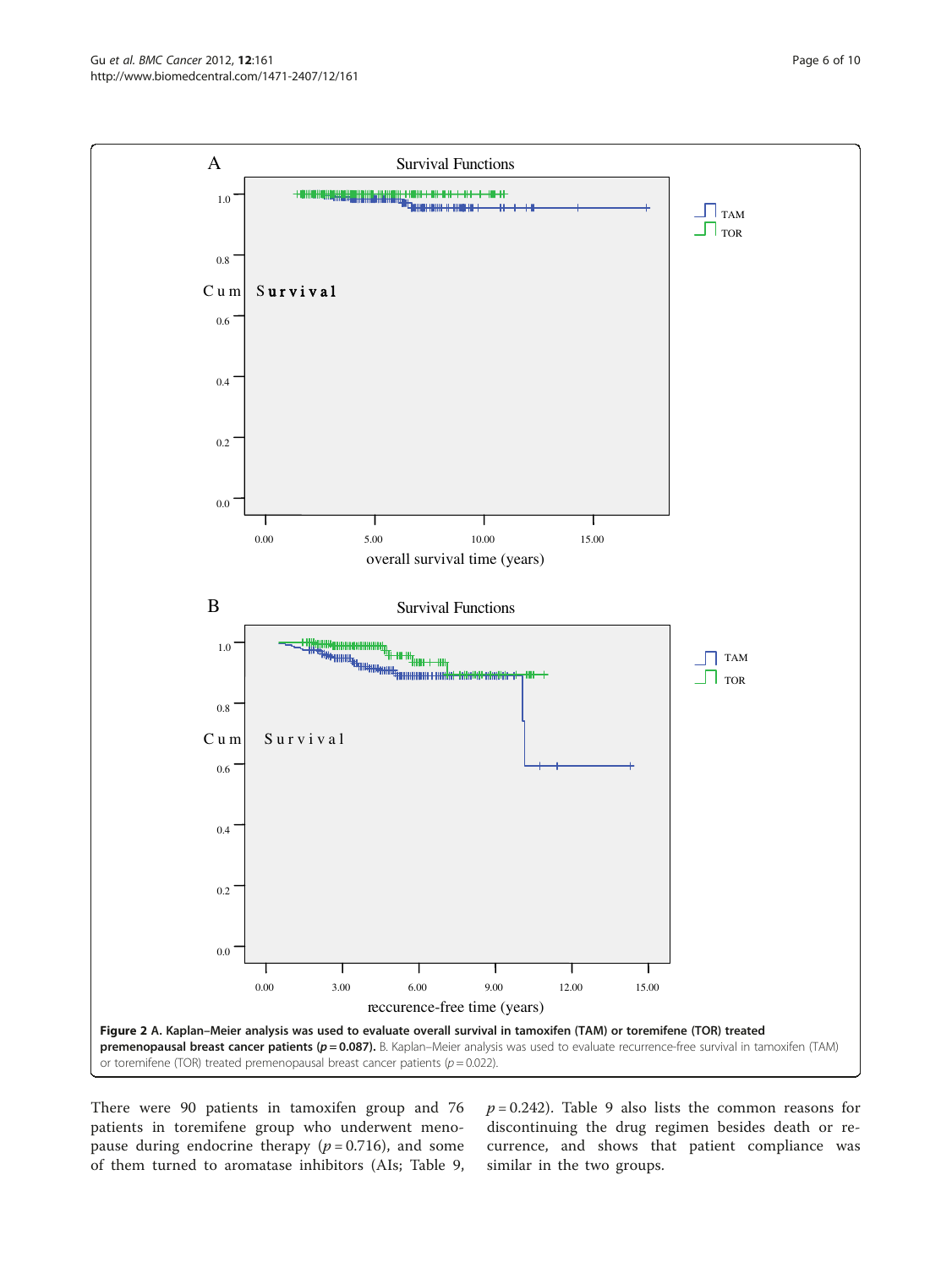There were 90 patients in tamoxifen group and 76 patients in toremifene group who underwent menopause during endocrine therapy  $(p = 0.716)$ , and some of them turned to aromatase inhibitors (AIs; Table [9](#page-7-0),

 $p = 0.242$ ). Table [9](#page-7-0) also lists the common reasons for discontinuing the drug regimen besides death or recurrence, and shows that patient compliance was similar in the two groups.

<span id="page-5-0"></span>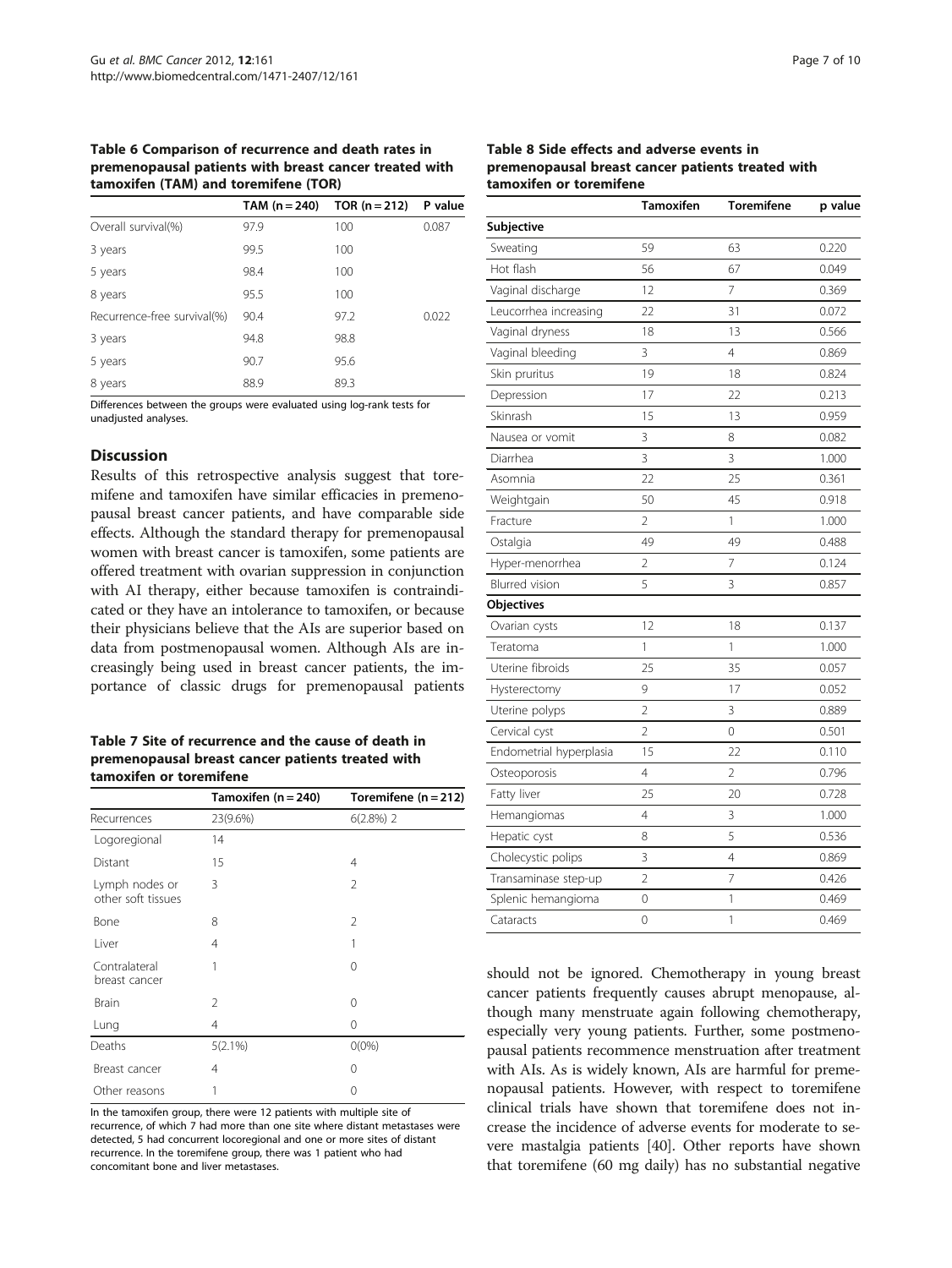#### <span id="page-6-0"></span>Table 6 Comparison of recurrence and death rates in premenopausal patients with breast cancer treated with tamoxifen (TAM) and toremifene (TOR)

|                             | TAM $(n = 240)$ | TOR $(n = 212)$ | P value |
|-----------------------------|-----------------|-----------------|---------|
| Overall survival(%)         | 97.9            | 100             | 0.087   |
| 3 years                     | 99.5            | 100             |         |
| 5 years                     | 98.4            | 100             |         |
| 8 years                     | 95.5            | 100             |         |
| Recurrence-free survival(%) | 90.4            | 97.2            | 0.022   |
| 3 years                     | 94.8            | 98.8            |         |
| 5 years                     | 90.7            | 95.6            |         |
| 8 years                     | 88.9            | 89.3            |         |

Differences between the groups were evaluated using log-rank tests for unadjusted analyses.

#### **Discussion**

Results of this retrospective analysis suggest that toremifene and tamoxifen have similar efficacies in premenopausal breast cancer patients, and have comparable side effects. Although the standard therapy for premenopausal women with breast cancer is tamoxifen, some patients are offered treatment with ovarian suppression in conjunction with AI therapy, either because tamoxifen is contraindicated or they have an intolerance to tamoxifen, or because their physicians believe that the AIs are superior based on data from postmenopausal women. Although AIs are increasingly being used in breast cancer patients, the importance of classic drugs for premenopausal patients

#### Table 7 Site of recurrence and the cause of death in premenopausal breast cancer patients treated with tamoxifen or toremifene

|                                      | Tamoxifen ( $n = 240$ ) | Toremifene ( $n = 212$ ) |
|--------------------------------------|-------------------------|--------------------------|
| Recurrences                          | 23(9.6%)                | $6(2.8%)$ 2              |
| Logoregional                         | 14                      |                          |
| Distant                              | 15                      | 4                        |
| Lymph nodes or<br>other soft tissues | 3                       | $\mathfrak{D}$           |
| Bone                                 | 8                       | 2                        |
| Liver                                | 4                       | 1                        |
| Contralateral<br>breast cancer       | 1                       | 0                        |
| <b>Brain</b>                         | $\mathfrak{D}$          | 0                        |
| Lung                                 | 4                       | 0                        |
| Deaths                               | $5(2.1\%)$              | $O(0\%)$                 |
| Breast cancer                        | 4                       | 0                        |
| Other reasons                        | 1                       | 0                        |

In the tamoxifen group, there were 12 patients with multiple site of recurrence, of which 7 had more than one site where distant metastases were detected, 5 had concurrent locoregional and one or more sites of distant recurrence. In the toremifene group, there was 1 patient who had concomitant bone and liver metastases.

#### Table 8 Side effects and adverse events in premenopausal breast cancer patients treated with tamoxifen or toremifene

|                         | <b>Tamoxifen</b> | <b>Toremifene</b> | p value |
|-------------------------|------------------|-------------------|---------|
| Subjective              |                  |                   |         |
| Sweating                | 59               | 63                | 0.220   |
| Hot flash               | 56               | 67                | 0.049   |
| Vaginal discharge       | 12               | 7                 | 0.369   |
| Leucorrhea increasing   | 22               | 31                | 0.072   |
| Vaginal dryness         | 18               | 13                | 0.566   |
| Vaginal bleeding        | 3                | 4                 | 0.869   |
| Skin pruritus           | 19               | 18                | 0.824   |
| Depression              | 17               | 22                | 0.213   |
| Skinrash                | 15               | 13                | 0.959   |
| Nausea or vomit         | 3                | 8                 | 0.082   |
| Diarrhea                | 3                | 3                 | 1.000   |
| Asomnia                 | 22               | 25                | 0.361   |
| Weightgain              | 50               | 45                | 0.918   |
| Fracture                | $\overline{2}$   | 1                 | 1.000   |
| Ostalgia                | 49               | 49                | 0.488   |
| Hyper-menorrhea         | $\overline{2}$   | 7                 | 0.124   |
| <b>Blurred</b> vision   | 5                | 3                 | 0.857   |
| Objectives              |                  |                   |         |
| Ovarian cysts           | 12               | 18                | 0.137   |
| Teratoma                | 1                | 1                 | 1.000   |
| Uterine fibroids        | 25               | 35                | 0.057   |
| Hysterectomy            | 9                | 17                | 0.052   |
| Uterine polyps          | $\overline{2}$   | 3                 | 0.889   |
| Cervical cyst           | $\overline{2}$   | 0                 | 0.501   |
| Endometrial hyperplasia | 15               | 22                | 0.110   |
| Osteoporosis            | 4                | $\overline{2}$    | 0.796   |
| Fatty liver             | 25               | 20                | 0.728   |
| Hemangiomas             | 4                | 3                 | 1.000   |
| Hepatic cyst            | 8                | 5                 | 0.536   |
| Cholecystic polips      | 3                | 4                 | 0.869   |
| Transaminase step-up    | $\overline{2}$   | 7                 | 0.426   |
| Splenic hemangioma      | 0                | 1                 | 0.469   |
| Cataracts               | 0                | 1                 | 0.469   |

should not be ignored. Chemotherapy in young breast cancer patients frequently causes abrupt menopause, although many menstruate again following chemotherapy, especially very young patients. Further, some postmenopausal patients recommence menstruation after treatment with AIs. As is widely known, AIs are harmful for premenopausal patients. However, with respect to toremifene clinical trials have shown that toremifene does not increase the incidence of adverse events for moderate to severe mastalgia patients [[40](#page-9-0)]. Other reports have shown that toremifene (60 mg daily) has no substantial negative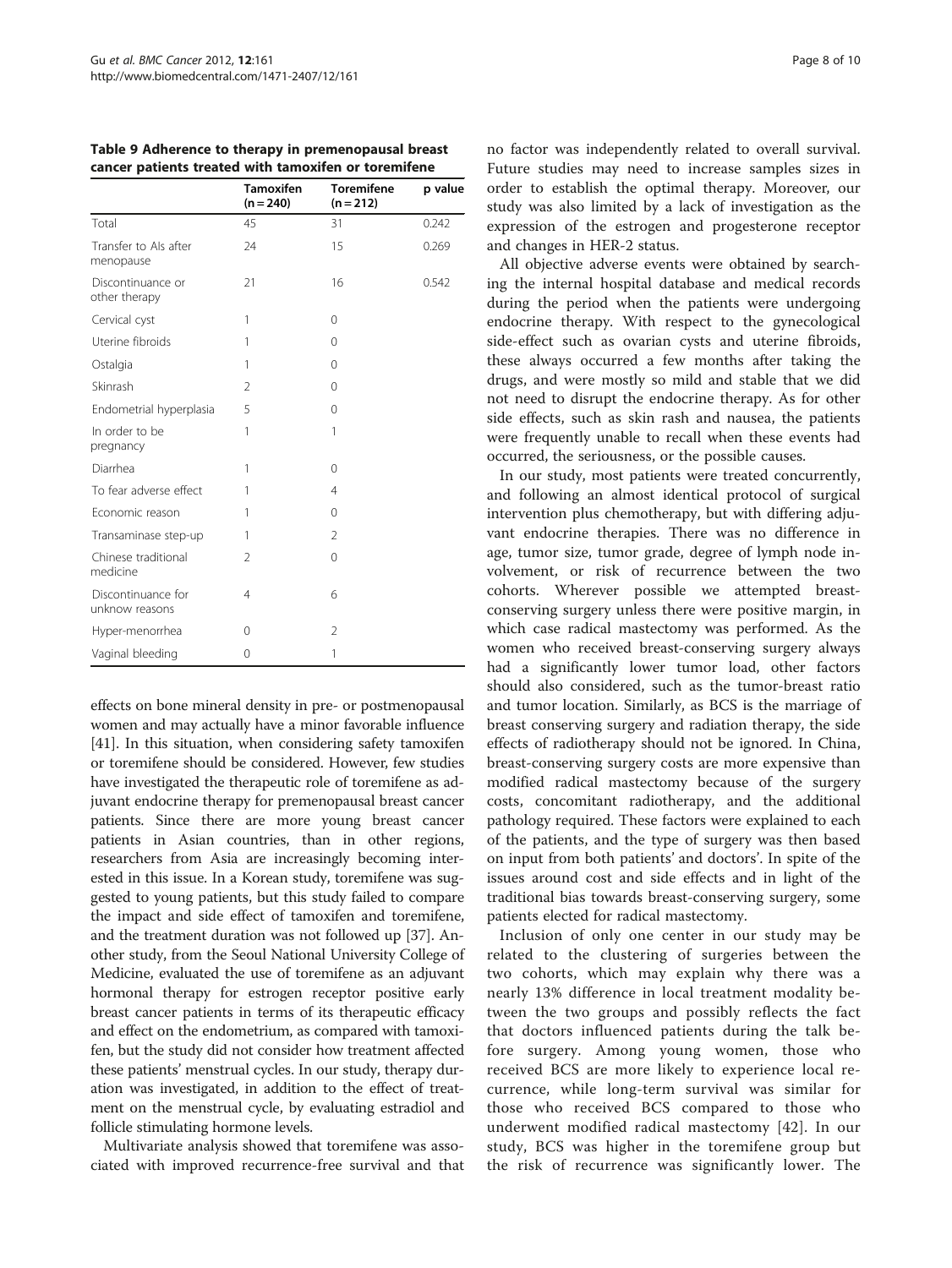| rancel hanelin neaten                |                                 |                                  |         |
|--------------------------------------|---------------------------------|----------------------------------|---------|
|                                      | <b>Tamoxifen</b><br>$(n = 240)$ | <b>Toremifene</b><br>$(n = 212)$ | p value |
| Total                                | 45                              | 31                               | 0.242   |
| Transfer to Als after<br>menopause   | 24                              | 15                               | 0.269   |
| Discontinuance or<br>other therapy   | 21                              | 16                               | 0.542   |
| Cervical cyst                        | 1                               | 0                                |         |
| Uterine fibroids                     | 1                               | $\Omega$                         |         |
| Ostalgia                             | 1                               | $\Omega$                         |         |
| Skinrash                             | 2                               | 0                                |         |
| Endometrial hyperplasia              | 5                               | $\Omega$                         |         |
| In order to be<br>pregnancy          | 1                               | 1                                |         |
| Diarrhea                             | 1                               | $\Omega$                         |         |
| To fear adverse effect               | 1                               | 4                                |         |
| Economic reason                      | 1                               | $\Omega$                         |         |
| Transaminase step-up                 | 1                               | $\overline{2}$                   |         |
| Chinese traditional<br>medicine      | 2                               | 0                                |         |
| Discontinuance for<br>unknow reasons | $\overline{4}$                  | 6                                |         |
| Hyper-menorrhea                      | $\Omega$                        | $\overline{2}$                   |         |
| Vaginal bleeding                     | $\Omega$                        | 1                                |         |
|                                      |                                 |                                  |         |

<span id="page-7-0"></span>Table 9 Adherence to therapy in premenopausal breast cancer patients treated with tamoxifen or toremifene

effects on bone mineral density in pre- or postmenopausal women and may actually have a minor favorable influence [[41](#page-9-0)]. In this situation, when considering safety tamoxifen or toremifene should be considered. However, few studies have investigated the therapeutic role of toremifene as adjuvant endocrine therapy for premenopausal breast cancer patients. Since there are more young breast cancer patients in Asian countries, than in other regions, researchers from Asia are increasingly becoming interested in this issue. In a Korean study, toremifene was suggested to young patients, but this study failed to compare the impact and side effect of tamoxifen and toremifene, and the treatment duration was not followed up [\[37\]](#page-9-0). Another study, from the Seoul National University College of Medicine, evaluated the use of toremifene as an adjuvant hormonal therapy for estrogen receptor positive early breast cancer patients in terms of its therapeutic efficacy and effect on the endometrium, as compared with tamoxifen, but the study did not consider how treatment affected these patients' menstrual cycles. In our study, therapy duration was investigated, in addition to the effect of treatment on the menstrual cycle, by evaluating estradiol and follicle stimulating hormone levels.

Multivariate analysis showed that toremifene was associated with improved recurrence-free survival and that

no factor was independently related to overall survival. Future studies may need to increase samples sizes in order to establish the optimal therapy. Moreover, our study was also limited by a lack of investigation as the expression of the estrogen and progesterone receptor and changes in HER-2 status.

All objective adverse events were obtained by searching the internal hospital database and medical records during the period when the patients were undergoing endocrine therapy. With respect to the gynecological side-effect such as ovarian cysts and uterine fibroids, these always occurred a few months after taking the drugs, and were mostly so mild and stable that we did not need to disrupt the endocrine therapy. As for other side effects, such as skin rash and nausea, the patients were frequently unable to recall when these events had occurred, the seriousness, or the possible causes.

In our study, most patients were treated concurrently, and following an almost identical protocol of surgical intervention plus chemotherapy, but with differing adjuvant endocrine therapies. There was no difference in age, tumor size, tumor grade, degree of lymph node involvement, or risk of recurrence between the two cohorts. Wherever possible we attempted breastconserving surgery unless there were positive margin, in which case radical mastectomy was performed. As the women who received breast-conserving surgery always had a significantly lower tumor load, other factors should also considered, such as the tumor-breast ratio and tumor location. Similarly, as BCS is the marriage of breast conserving surgery and radiation therapy, the side effects of radiotherapy should not be ignored. In China, breast-conserving surgery costs are more expensive than modified radical mastectomy because of the surgery costs, concomitant radiotherapy, and the additional pathology required. These factors were explained to each of the patients, and the type of surgery was then based on input from both patients' and doctors'. In spite of the issues around cost and side effects and in light of the traditional bias towards breast-conserving surgery, some patients elected for radical mastectomy.

Inclusion of only one center in our study may be related to the clustering of surgeries between the two cohorts, which may explain why there was a nearly 13% difference in local treatment modality between the two groups and possibly reflects the fact that doctors influenced patients during the talk before surgery. Among young women, those who received BCS are more likely to experience local recurrence, while long-term survival was similar for those who received BCS compared to those who underwent modified radical mastectomy [[42\]](#page-9-0). In our study, BCS was higher in the toremifene group but the risk of recurrence was significantly lower. The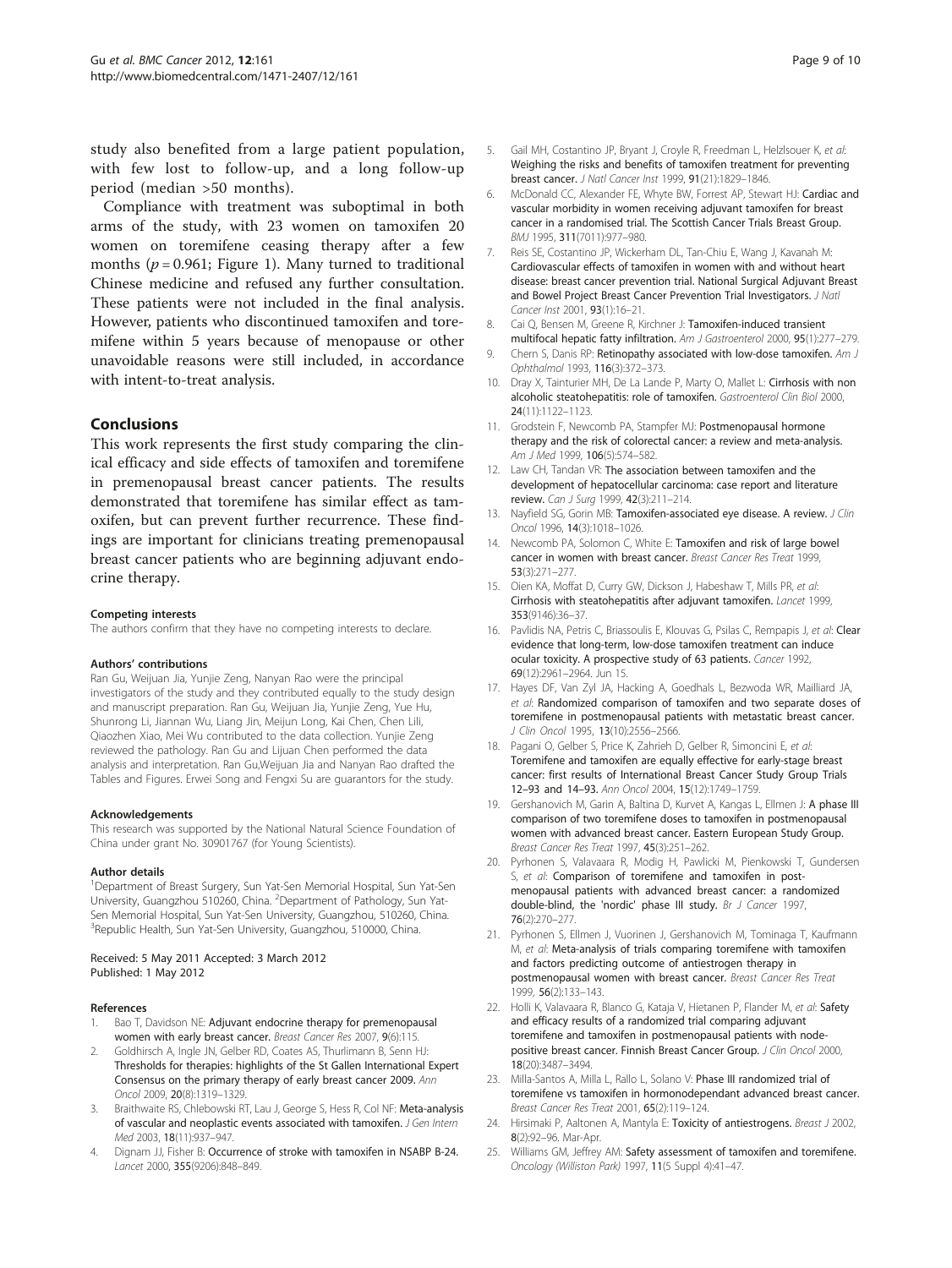<span id="page-8-0"></span>study also benefited from a large patient population, with few lost to follow-up, and a long follow-up period (median >50 months).

Compliance with treatment was suboptimal in both arms of the study, with 23 women on tamoxifen 20 women on toremifene ceasing therapy after a few months ( $p = 0.961$ ; Figure [1](#page-3-0)). Many turned to traditional Chinese medicine and refused any further consultation. These patients were not included in the final analysis. However, patients who discontinued tamoxifen and toremifene within 5 years because of menopause or other unavoidable reasons were still included, in accordance with intent-to-treat analysis.

#### Conclusions

This work represents the first study comparing the clinical efficacy and side effects of tamoxifen and toremifene in premenopausal breast cancer patients. The results demonstrated that toremifene has similar effect as tamoxifen, but can prevent further recurrence. These findings are important for clinicians treating premenopausal breast cancer patients who are beginning adjuvant endocrine therapy.

#### Competing interests

The authors confirm that they have no competing interests to declare.

#### Authors' contributions

Ran Gu, Weijuan Jia, Yunjie Zeng, Nanyan Rao were the principal investigators of the study and they contributed equally to the study design and manuscript preparation. Ran Gu, Weijuan Jia, Yunjie Zeng, Yue Hu, Shunrong Li, Jiannan Wu, Liang Jin, Meijun Long, Kai Chen, Chen Lili, Qiaozhen Xiao, Mei Wu contributed to the data collection. Yunjie Zeng reviewed the pathology. Ran Gu and Lijuan Chen performed the data analysis and interpretation. Ran Gu,Weijuan Jia and Nanyan Rao drafted the Tables and Figures. Erwei Song and Fengxi Su are guarantors for the study.

#### Acknowledgements

This research was supported by the National Natural Science Foundation of China under grant No. 30901767 (for Young Scientists).

#### Author details

<sup>1</sup>Department of Breast Surgery, Sun Yat-Sen Memorial Hospital, Sun Yat-Sen University, Guangzhou 510260, China. <sup>2</sup>Department of Pathology, Sun Yat-Sen Memorial Hospital, Sun Yat-Sen University, Guangzhou, 510260, China. <sup>3</sup> Republic Health, Sun Yat-Sen University, Guangzhou, 510000, China.

Received: 5 May 2011 Accepted: 3 March 2012 Published: 1 May 2012

#### References

- 1. Bao T, Davidson NE: Adjuvant endocrine therapy for premenopausal women with early breast cancer. Breast Cancer Res 2007, 9(6):115.
- Goldhirsch A, Ingle JN, Gelber RD, Coates AS, Thurlimann B, Senn HJ: Thresholds for therapies: highlights of the St Gallen International Expert Consensus on the primary therapy of early breast cancer 2009. Ann Oncol 2009, 20(8):1319–1329.
- 3. Braithwaite RS, Chlebowski RT, Lau J, George S, Hess R, Col NF: Meta-analysis of vascular and neoplastic events associated with tamoxifen. J Gen Intern Med 2003, 18(11):937–947.
- 4. Dignam JJ, Fisher B: Occurrence of stroke with tamoxifen in NSABP B-24. Lancet 2000, 355(9206):848–849.
- 5. Gail MH, Costantino JP, Bryant J, Croyle R, Freedman L, Helzlsouer K, et al: Weighing the risks and benefits of tamoxifen treatment for preventing breast cancer. J Natl Cancer Inst 1999, 91(21):1829–1846.
- 6. McDonald CC, Alexander FE, Whyte BW, Forrest AP, Stewart HJ: Cardiac and vascular morbidity in women receiving adjuvant tamoxifen for breast cancer in a randomised trial. The Scottish Cancer Trials Breast Group. BMJ 1995, 311(7011):977–980.
- 7. Reis SE, Costantino JP, Wickerham DL, Tan-Chiu E, Wang J, Kavanah M: Cardiovascular effects of tamoxifen in women with and without heart disease: breast cancer prevention trial. National Surgical Adjuvant Breast and Bowel Project Breast Cancer Prevention Trial Investigators. J Natl Cancer Inst 2001, 93(1):16–21.
- 8. Cai Q, Bensen M, Greene R, Kirchner J: Tamoxifen-induced transient multifocal hepatic fatty infiltration. Am J Gastroenterol 2000, 95(1):277–279.
- 9. Chern S, Danis RP: Retinopathy associated with low-dose tamoxifen. Am J Ophthalmol 1993, 116(3):372–373.
- 10. Dray X, Tainturier MH, De La Lande P, Marty O, Mallet L: Cirrhosis with non alcoholic steatohepatitis: role of tamoxifen. Gastroenterol Clin Biol 2000, 24(11):1122–1123.
- 11. Grodstein F, Newcomb PA, Stampfer MJ: Postmenopausal hormone therapy and the risk of colorectal cancer: a review and meta-analysis. Am J Med 1999, 106(5):574-582.
- 12. Law CH, Tandan VR: The association between tamoxifen and the development of hepatocellular carcinoma: case report and literature review. Can J Surg 1999, 42(3):211–214.
- 13. Nayfield SG, Gorin MB: Tamoxifen-associated eye disease. A review. J Clin Oncol 1996, 14(3):1018–1026.
- 14. Newcomb PA, Solomon C, White E: Tamoxifen and risk of large bowel cancer in women with breast cancer. Breast Cancer Res Treat 1999, 53(3):271–277.
- 15. Oien KA, Moffat D, Curry GW, Dickson J, Habeshaw T, Mills PR, et al: Cirrhosis with steatohepatitis after adjuvant tamoxifen. Lancet 1999, 353(9146):36–37.
- 16. Pavlidis NA, Petris C, Briassoulis E, Klouvas G, Psilas C, Rempapis J, et al: Clear evidence that long-term, low-dose tamoxifen treatment can induce ocular toxicity. A prospective study of 63 patients. Cancer 1992, 69(12):2961–2964. Jun 15.
- 17. Hayes DF, Van Zyl JA, Hacking A, Goedhals L, Bezwoda WR, Mailliard JA, et al: Randomized comparison of tamoxifen and two separate doses of toremifene in postmenopausal patients with metastatic breast cancer. J Clin Oncol 1995, 13(10):2556–2566.
- 18. Pagani O, Gelber S, Price K, Zahrieh D, Gelber R, Simoncini E, et al: Toremifene and tamoxifen are equally effective for early-stage breast cancer: first results of International Breast Cancer Study Group Trials 12–93 and 14–93. Ann Oncol 2004, 15(12):1749–1759.
- 19. Gershanovich M, Garin A, Baltina D, Kurvet A, Kangas L, Ellmen J: A phase III comparison of two toremifene doses to tamoxifen in postmenopausal women with advanced breast cancer. Eastern European Study Group. Breast Cancer Res Treat 1997, 45(3):251–262.
- 20. Pyrhonen S, Valavaara R, Modig H, Pawlicki M, Pienkowski T, Gundersen S, et al: Comparison of toremifene and tamoxifen in postmenopausal patients with advanced breast cancer: a randomized double-blind, the 'nordic' phase III study. Br J Cancer 1997, 76(2):270–277.
- 21. Pyrhonen S, Ellmen J, Vuorinen J, Gershanovich M, Tominaga T, Kaufmann M, et al: Meta-analysis of trials comparing toremifene with tamoxifen and factors predicting outcome of antiestrogen therapy in postmenopausal women with breast cancer. Breast Cancer Res Treat 1999, 56(2):133–143.
- 22. Holli K, Valavaara R, Blanco G, Kataja V, Hietanen P, Flander M, et al: Safety and efficacy results of a randomized trial comparing adjuvant toremifene and tamoxifen in postmenopausal patients with nodepositive breast cancer. Finnish Breast Cancer Group. J Clin Oncol 2000, 18(20):3487–3494.
- 23. Milla-Santos A, Milla L, Rallo L, Solano V: Phase III randomized trial of toremifene vs tamoxifen in hormonodependant advanced breast cancer. Breast Cancer Res Treat 2001, 65(2):119–124.
- 24. Hirsimaki P, Aaltonen A, Mantyla E: Toxicity of antiestrogens. Breast J 2002, 8(2):92–96. Mar-Apr.
- 25. Williams GM, Jeffrey AM: Safety assessment of tamoxifen and toremifene. Oncology (Williston Park) 1997, 11(5 Suppl 4):41–47.